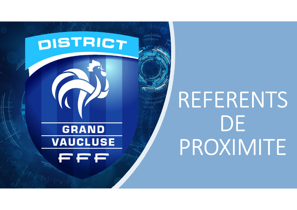

# REFERENTS **DE** PROXIMITE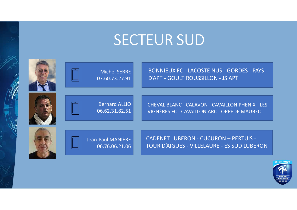#### SECTEUR SUD



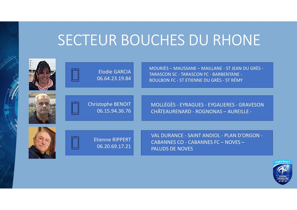### SECTEUR BOUCHES DU RHONE

 $\Rightarrow$ 

|  |                                          | SECTEUR BOUCHES DU RHONE                                                                                                                          |                 |
|--|------------------------------------------|---------------------------------------------------------------------------------------------------------------------------------------------------|-----------------|
|  | <b>Elodie GARCIA</b><br>06.64.23.19.84   | MOURIÈS - MAUSSANE - MAILLANE - ST JEAN DU GRÈS -<br>TARASCON SC - TARASCON FC - BARBENTANE -<br><b>BOULBON FC - ST ETIENNE DU GRÈS - ST RÉMY</b> |                 |
|  | Christophe BENOIT<br>06.15.94.36.76      | MOLLÉGÈS - EYRAGUES - EYGALIERES - GRAVESON<br>CHÂTEAURENARD - ROGNONAS - AUREILLE -                                                              |                 |
|  | <b>Etienne RIPPERT</b><br>06.20.69.17.21 | VAL DURANCE - SAINT ANDIOL - PLAN D'ORGON -<br>CABANNES CO - CABANNES FC - NOVES -<br>PALUDS DE NOVES                                             |                 |
|  |                                          |                                                                                                                                                   | <b>DISTRICT</b> |

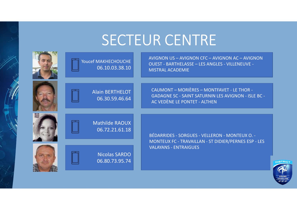## SECTEUR CENTRE

| Youcef MAKHECHOUCHE<br>06.10.03.38.10    | AVIGNON US - AVIGNON CFC - AVIGNON AC - AVIGNON<br><b>OUEST - BARTHELASSE - LES ANGLES - VILLENEUVE -</b><br><b>MISTRAL ACADEMIE</b>     |
|------------------------------------------|------------------------------------------------------------------------------------------------------------------------------------------|
| <b>Alain BERTHELOT</b><br>06.30.59.46.64 | CAUMONT - MORIÈRES - MONTFAVET - LE THOR -<br><b>GADAGNE SC - SAINT SATURNIN LES AVIGNON - ISLE BC -</b><br>AC VEDÈNE LE PONTET - ALTHEN |
| <b>Mathilde RAOUX</b><br>06.72.21.61.18  | BÉDARRIDES - SORGUES - VELLERON - MONTEUX O. -<br>MONTEUX FC - TRAVAILLAN - ST DIDIER/PERNES ESP - LES                                   |
| <b>Nicolas SARDO</b><br>06.80.73.95.74   | <b>VALAYANS - ENTRAIGUES</b>                                                                                                             |

**NSTRI**